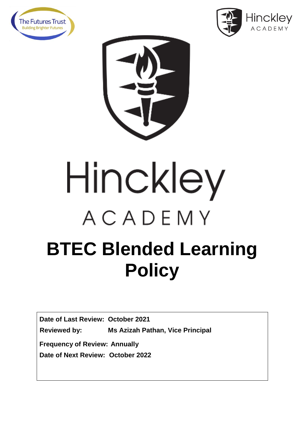



## Hinckley ACADEMY **BTEC Blended Learning Policy**

**Date of Last Review: October 2021**

**Reviewed by: Ms Azizah Pathan, Vice Principal** 

**Frequency of Review: Annually**

**Date of Next Review: October 2022**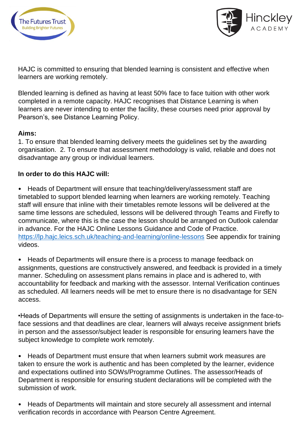



HAJC is committed to ensuring that blended learning is consistent and effective when learners are working remotely.

Blended learning is defined as having at least 50% face to face tuition with other work completed in a remote capacity. HAJC recognises that Distance Learning is when learners are never intending to enter the facility, these courses need prior approval by Pearson's, see Distance Learning Policy.

## **Aims:**

1. To ensure that blended learning delivery meets the guidelines set by the awarding organisation. 2. To ensure that assessment methodology is valid, reliable and does not disadvantage any group or individual learners.

## **In order to do this HAJC will:**

• Heads of Department will ensure that teaching/delivery/assessment staff are timetabled to support blended learning when learners are working remotely. Teaching staff will ensure that inline with their timetables remote lessons will be delivered at the same time lessons are scheduled, lessons will be delivered through Teams and Firefly to communicate, where this is the case the lesson should be arranged on Outlook calendar in advance. For the HAJC Online Lessons Guidance and Code of Practice. <https://lp.hajc.leics.sch.uk/teaching-and-learning/online-lessons> See appendix for training videos.

• Heads of Departments will ensure there is a process to manage feedback on assignments, questions are constructively answered, and feedback is provided in a timely manner. Scheduling on assessment plans remains in place and is adhered to, with accountability for feedback and marking with the assessor. Internal Verification continues as scheduled. All learners needs will be met to ensure there is no disadvantage for SEN access.

•Heads of Departments will ensure the setting of assignments is undertaken in the face-toface sessions and that deadlines are clear, learners will always receive assignment briefs in person and the assessor/subject leader is responsible for ensuring learners have the subject knowledge to complete work remotely.

• Heads of Department must ensure that when learners submit work measures are taken to ensure the work is authentic and has been completed by the learner, evidence and expectations outlined into SOWs/Programme Outlines. The assessor/Heads of Department is responsible for ensuring student declarations will be completed with the submission of work.

• Heads of Departments will maintain and store securely all assessment and internal verification records in accordance with Pearson Centre Agreement.